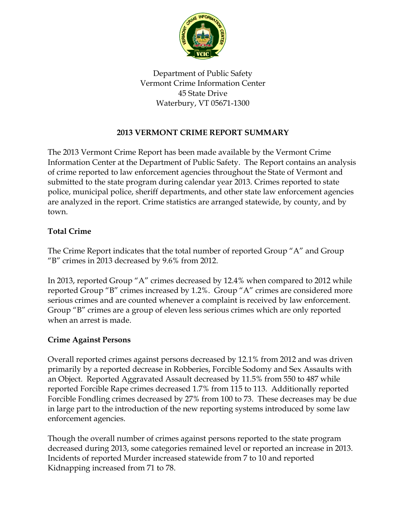

Department of Public Safety Vermont Crime Information Center 45 State Drive Waterbury, VT 05671-1300

### **2013 VERMONT CRIME REPORT SUMMARY**

The 2013 Vermont Crime Report has been made available by the Vermont Crime Information Center at the Department of Public Safety. The Report contains an analysis of crime reported to law enforcement agencies throughout the State of Vermont and submitted to the state program during calendar year 2013. Crimes reported to state police, municipal police, sheriff departments, and other state law enforcement agencies are analyzed in the report. Crime statistics are arranged statewide, by county, and by town.

### **Total Crime**

The Crime Report indicates that the total number of reported Group "A" and Group "B" crimes in 2013 decreased by 9.6% from 2012.

In 2013, reported Group "A" crimes decreased by 12.4% when compared to 2012 while reported Group "B" crimes increased by 1.2%. Group "A" crimes are considered more serious crimes and are counted whenever a complaint is received by law enforcement. Group "B" crimes are a group of eleven less serious crimes which are only reported when an arrest is made.

#### **Crime Against Persons**

Overall reported crimes against persons decreased by 12.1% from 2012 and was driven primarily by a reported decrease in Robberies, Forcible Sodomy and Sex Assaults with an Object. Reported Aggravated Assault decreased by 11.5% from 550 to 487 while reported Forcible Rape crimes decreased 1.7% from 115 to 113. Additionally reported Forcible Fondling crimes decreased by 27% from 100 to 73. These decreases may be due in large part to the introduction of the new reporting systems introduced by some law enforcement agencies.

Though the overall number of crimes against persons reported to the state program decreased during 2013, some categories remained level or reported an increase in 2013. Incidents of reported Murder increased statewide from 7 to 10 and reported Kidnapping increased from 71 to 78.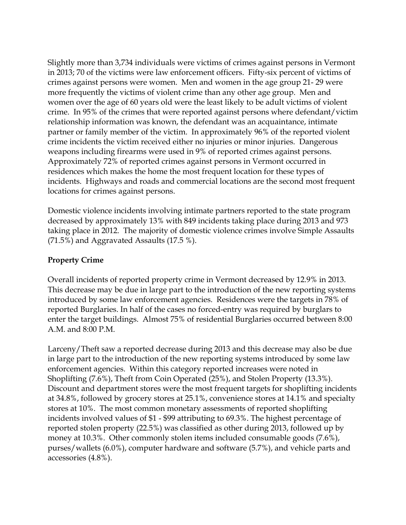Slightly more than 3,734 individuals were victims of crimes against persons in Vermont in 2013; 70 of the victims were law enforcement officers. Fifty-six percent of victims of crimes against persons were women. Men and women in the age group 21- 29 were more frequently the victims of violent crime than any other age group. Men and women over the age of 60 years old were the least likely to be adult victims of violent crime. In 95% of the crimes that were reported against persons where defendant/victim relationship information was known, the defendant was an acquaintance, intimate partner or family member of the victim. In approximately 96% of the reported violent crime incidents the victim received either no injuries or minor injuries. Dangerous weapons including firearms were used in 9% of reported crimes against persons. Approximately 72% of reported crimes against persons in Vermont occurred in residences which makes the home the most frequent location for these types of incidents. Highways and roads and commercial locations are the second most frequent locations for crimes against persons.

Domestic violence incidents involving intimate partners reported to the state program decreased by approximately 13% with 849 incidents taking place during 2013 and 973 taking place in 2012. The majority of domestic violence crimes involve Simple Assaults (71.5%) and Aggravated Assaults (17.5 %).

### **Property Crime**

Overall incidents of reported property crime in Vermont decreased by 12.9% in 2013. This decrease may be due in large part to the introduction of the new reporting systems introduced by some law enforcement agencies. Residences were the targets in 78% of reported Burglaries. In half of the cases no forced-entry was required by burglars to enter the target buildings. Almost 75% of residential Burglaries occurred between 8:00 A.M. and 8:00 P.M.

Larceny/Theft saw a reported decrease during 2013 and this decrease may also be due in large part to the introduction of the new reporting systems introduced by some law enforcement agencies. Within this category reported increases were noted in Shoplifting (7.6%), Theft from Coin Operated (25%), and Stolen Property (13.3%). Discount and department stores were the most frequent targets for shoplifting incidents at 34.8%, followed by grocery stores at 25.1%, convenience stores at 14.1% and specialty stores at 10%. The most common monetary assessments of reported shoplifting incidents involved values of \$1 - \$99 attributing to 69.3%. The highest percentage of reported stolen property (22.5%) was classified as other during 2013, followed up by money at 10.3%. Other commonly stolen items included consumable goods (7.6%), purses/wallets (6.0%), computer hardware and software (5.7%), and vehicle parts and accessories (4.8%).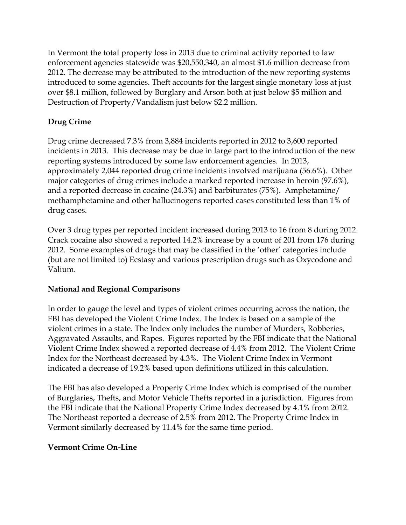In Vermont the total property loss in 2013 due to criminal activity reported to law enforcement agencies statewide was \$20,550,340, an almost \$1.6 million decrease from 2012. The decrease may be attributed to the introduction of the new reporting systems introduced to some agencies. Theft accounts for the largest single monetary loss at just over \$8.1 million, followed by Burglary and Arson both at just below \$5 million and Destruction of Property/Vandalism just below \$2.2 million.

# **Drug Crime**

Drug crime decreased 7.3% from 3,884 incidents reported in 2012 to 3,600 reported incidents in 2013. This decrease may be due in large part to the introduction of the new reporting systems introduced by some law enforcement agencies. In 2013, approximately 2,044 reported drug crime incidents involved marijuana (56.6%). Other major categories of drug crimes include a marked reported increase in heroin (97.6%), and a reported decrease in cocaine (24.3%) and barbiturates (75%). Amphetamine/ methamphetamine and other hallucinogens reported cases constituted less than 1% of drug cases.

Over 3 drug types per reported incident increased during 2013 to 16 from 8 during 2012. Crack cocaine also showed a reported 14.2% increase by a count of 201 from 176 during 2012. Some examples of drugs that may be classified in the 'other' categories include (but are not limited to) Ecstasy and various prescription drugs such as Oxycodone and Valium.

## **National and Regional Comparisons**

In order to gauge the level and types of violent crimes occurring across the nation, the FBI has developed the Violent Crime Index. The Index is based on a sample of the violent crimes in a state. The Index only includes the number of Murders, Robberies, Aggravated Assaults, and Rapes. Figures reported by the FBI indicate that the National Violent Crime Index showed a reported decrease of 4.4% from 2012. The Violent Crime Index for the Northeast decreased by 4.3%. The Violent Crime Index in Vermont indicated a decrease of 19.2% based upon definitions utilized in this calculation.

The FBI has also developed a Property Crime Index which is comprised of the number of Burglaries, Thefts, and Motor Vehicle Thefts reported in a jurisdiction. Figures from the FBI indicate that the National Property Crime Index decreased by 4.1% from 2012. The Northeast reported a decrease of 2.5% from 2012. The Property Crime Index in Vermont similarly decreased by 11.4% for the same time period.

## **Vermont Crime On-Line**